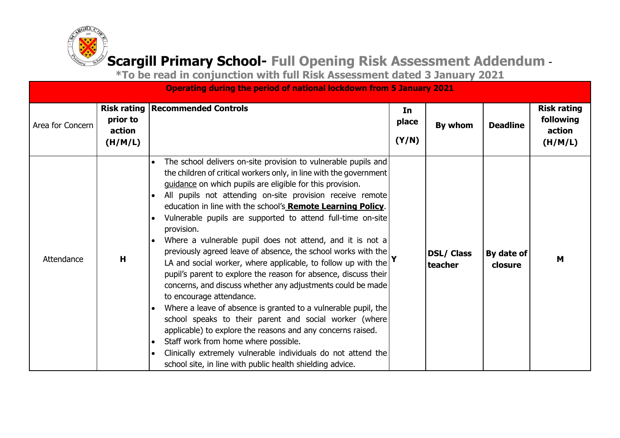

|                  |                               | <b>Operating during the period of national lockdown from 5 January 2021</b>                                                                                                                                                                                                                                                                                                                                                                                                                                                                                                                                                                                                                                                                                                                                                                                                                                                                                                                                                                                                                                                                                                     |                      |                              |                       |                                                      |
|------------------|-------------------------------|---------------------------------------------------------------------------------------------------------------------------------------------------------------------------------------------------------------------------------------------------------------------------------------------------------------------------------------------------------------------------------------------------------------------------------------------------------------------------------------------------------------------------------------------------------------------------------------------------------------------------------------------------------------------------------------------------------------------------------------------------------------------------------------------------------------------------------------------------------------------------------------------------------------------------------------------------------------------------------------------------------------------------------------------------------------------------------------------------------------------------------------------------------------------------------|----------------------|------------------------------|-----------------------|------------------------------------------------------|
| Area for Concern | prior to<br>action<br>(H/M/L) | <b>Risk rating   Recommended Controls</b>                                                                                                                                                                                                                                                                                                                                                                                                                                                                                                                                                                                                                                                                                                                                                                                                                                                                                                                                                                                                                                                                                                                                       | In<br>place<br>(Y/N) | By whom                      | <b>Deadline</b>       | <b>Risk rating</b><br>following<br>action<br>(H/M/L) |
| Attendance       | Н                             | The school delivers on-site provision to vulnerable pupils and<br>the children of critical workers only, in line with the government<br>guidance on which pupils are eligible for this provision.<br>All pupils not attending on-site provision receive remote<br>education in line with the school's Remote Learning Policy.<br>Vulnerable pupils are supported to attend full-time on-site<br>provision.<br>Where a vulnerable pupil does not attend, and it is not a<br>$\bullet$<br>previously agreed leave of absence, the school works with the<br>LA and social worker, where applicable, to follow up with the $\mathbf{r}$<br>pupil's parent to explore the reason for absence, discuss their<br>concerns, and discuss whether any adjustments could be made<br>to encourage attendance.<br>Where a leave of absence is granted to a vulnerable pupil, the<br>$\bullet$<br>school speaks to their parent and social worker (where<br>applicable) to explore the reasons and any concerns raised.<br>Staff work from home where possible.<br>Clinically extremely vulnerable individuals do not attend the<br>school site, in line with public health shielding advice. |                      | <b>DSL/ Class</b><br>teacher | By date of<br>closure | M                                                    |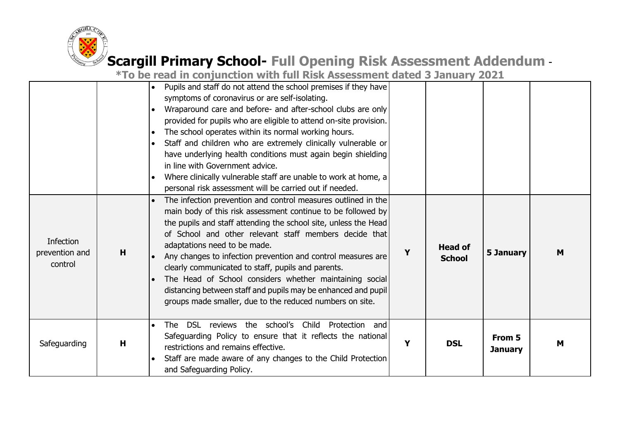

|                                               |   | *To be read in conjunction with full Risk Assessment dated 3 January 2021                                                                                                                                                                                                                                                                                                                                                                                                                                                                                                                                       |   |                                 |                          |   |
|-----------------------------------------------|---|-----------------------------------------------------------------------------------------------------------------------------------------------------------------------------------------------------------------------------------------------------------------------------------------------------------------------------------------------------------------------------------------------------------------------------------------------------------------------------------------------------------------------------------------------------------------------------------------------------------------|---|---------------------------------|--------------------------|---|
|                                               |   | Pupils and staff do not attend the school premises if they have<br>symptoms of coronavirus or are self-isolating.<br>Wraparound care and before- and after-school clubs are only<br>provided for pupils who are eligible to attend on-site provision.<br>The school operates within its normal working hours.<br>Staff and children who are extremely clinically vulnerable or<br>have underlying health conditions must again begin shielding<br>in line with Government advice.<br>Where clinically vulnerable staff are unable to work at home, a<br>personal risk assessment will be carried out if needed. |   |                                 |                          |   |
| <b>Infection</b><br>prevention and<br>control | H | The infection prevention and control measures outlined in the<br>main body of this risk assessment continue to be followed by<br>the pupils and staff attending the school site, unless the Head<br>of School and other relevant staff members decide that<br>adaptations need to be made.<br>Any changes to infection prevention and control measures are<br>clearly communicated to staff, pupils and parents.<br>The Head of School considers whether maintaining social<br>distancing between staff and pupils may be enhanced and pupil<br>groups made smaller, due to the reduced numbers on site.        | Y | <b>Head of</b><br><b>School</b> | 5 January                | M |
| Safeguarding                                  | H | The DSL reviews the school's<br>Child<br>Protection<br>and<br>Safeguarding Policy to ensure that it reflects the national<br>restrictions and remains effective.<br>Staff are made aware of any changes to the Child Protection<br>and Safeguarding Policy.                                                                                                                                                                                                                                                                                                                                                     | Y | <b>DSL</b>                      | From 5<br><b>January</b> | M |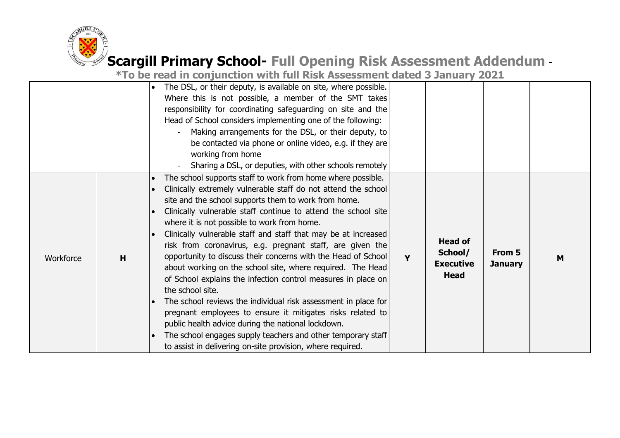

|           |   | The DSL, or their deputy, is available on site, where possible.<br>Where this is not possible, a member of the SMT takes<br>responsibility for coordinating safeguarding on site and the<br>Head of School considers implementing one of the following:<br>Making arrangements for the DSL, or their deputy, to<br>be contacted via phone or online video, e.g. if they are<br>working from home<br>Sharing a DSL, or deputies, with other schools remotely                                                                                                                                                                                                                                                                                                                                                                                                                                                                                                                                |   |                                                              |                          |   |
|-----------|---|--------------------------------------------------------------------------------------------------------------------------------------------------------------------------------------------------------------------------------------------------------------------------------------------------------------------------------------------------------------------------------------------------------------------------------------------------------------------------------------------------------------------------------------------------------------------------------------------------------------------------------------------------------------------------------------------------------------------------------------------------------------------------------------------------------------------------------------------------------------------------------------------------------------------------------------------------------------------------------------------|---|--------------------------------------------------------------|--------------------------|---|
| Workforce | H | The school supports staff to work from home where possible.<br>Clinically extremely vulnerable staff do not attend the school<br>site and the school supports them to work from home.<br>Clinically vulnerable staff continue to attend the school site<br>where it is not possible to work from home.<br>Clinically vulnerable staff and staff that may be at increased<br>risk from coronavirus, e.g. pregnant staff, are given the<br>opportunity to discuss their concerns with the Head of School<br>about working on the school site, where required. The Head<br>of School explains the infection control measures in place on<br>the school site.<br>The school reviews the individual risk assessment in place for<br>pregnant employees to ensure it mitigates risks related to<br>public health advice during the national lockdown.<br>The school engages supply teachers and other temporary staff<br>$\bullet$<br>to assist in delivering on-site provision, where required. | Y | <b>Head of</b><br>School/<br><b>Executive</b><br><b>Head</b> | From 5<br><b>January</b> | M |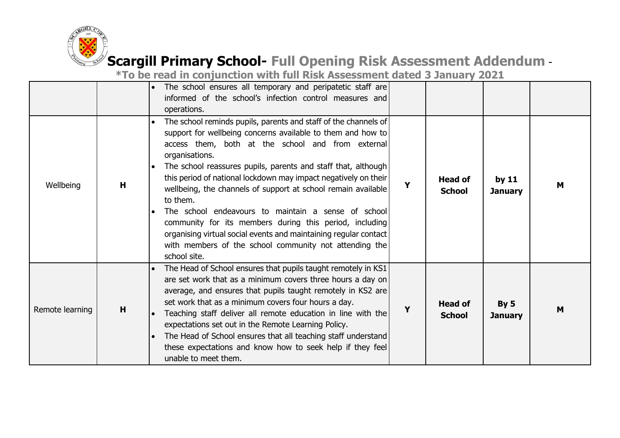

|                 |   | The school ensures all temporary and peripatetic staff are<br>informed of the school's infection control measures and<br>operations.                                                                                                                                                                                                                                                                                                                                                                                                                                                                                                                                                   |   |                                 |                           |   |
|-----------------|---|----------------------------------------------------------------------------------------------------------------------------------------------------------------------------------------------------------------------------------------------------------------------------------------------------------------------------------------------------------------------------------------------------------------------------------------------------------------------------------------------------------------------------------------------------------------------------------------------------------------------------------------------------------------------------------------|---|---------------------------------|---------------------------|---|
| Wellbeing       | н | The school reminds pupils, parents and staff of the channels of<br>support for wellbeing concerns available to them and how to<br>access them, both at the school and from external<br>organisations.<br>The school reassures pupils, parents and staff that, although<br>this period of national lockdown may impact negatively on their<br>wellbeing, the channels of support at school remain available<br>to them.<br>The school endeavours to maintain a sense of school<br>community for its members during this period, including<br>organising virtual social events and maintaining regular contact<br>with members of the school community not attending the<br>school site. | Y | <b>Head of</b><br><b>School</b> | by $11$<br><b>January</b> | м |
| Remote learning | H | The Head of School ensures that pupils taught remotely in KS1<br>$\bullet$<br>are set work that as a minimum covers three hours a day on<br>average, and ensures that pupils taught remotely in KS2 are<br>set work that as a minimum covers four hours a day.<br>Teaching staff deliver all remote education in line with the<br>expectations set out in the Remote Learning Policy.<br>The Head of School ensures that all teaching staff understand<br>$\bullet$<br>these expectations and know how to seek help if they feel<br>unable to meet them.                                                                                                                               | Υ | <b>Head of</b><br><b>School</b> | By 5<br><b>January</b>    | M |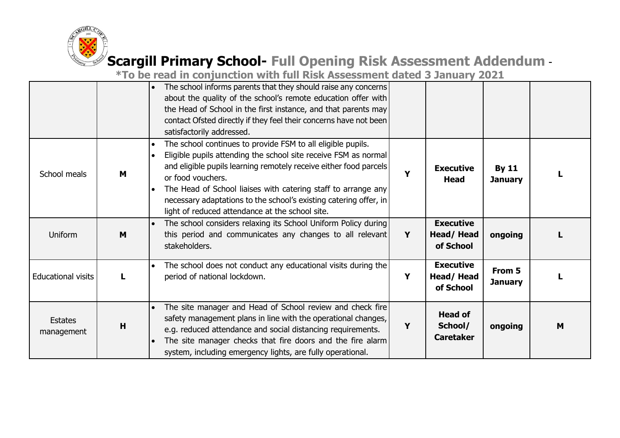

|                              |   | The school informs parents that they should raise any concerns<br>$\bullet$<br>about the quality of the school's remote education offer with<br>the Head of School in the first instance, and that parents may<br>contact Ofsted directly if they feel their concerns have not been<br>satisfactorily addressed.                                                                                                                                         |   |                                               |                                |   |
|------------------------------|---|----------------------------------------------------------------------------------------------------------------------------------------------------------------------------------------------------------------------------------------------------------------------------------------------------------------------------------------------------------------------------------------------------------------------------------------------------------|---|-----------------------------------------------|--------------------------------|---|
| School meals                 | M | The school continues to provide FSM to all eligible pupils.<br>$\bullet$<br>Eligible pupils attending the school site receive FSM as normal<br>$\bullet$<br>and eligible pupils learning remotely receive either food parcels<br>or food vouchers.<br>The Head of School liaises with catering staff to arrange any<br>$\bullet$<br>necessary adaptations to the school's existing catering offer, in<br>light of reduced attendance at the school site. | Y | <b>Executive</b><br><b>Head</b>               | <b>By 11</b><br><b>January</b> |   |
| Uniform                      | M | The school considers relaxing its School Uniform Policy during<br>$\bullet$<br>this period and communicates any changes to all relevant<br>stakeholders.                                                                                                                                                                                                                                                                                                 | Y | <b>Executive</b><br>Head/Head<br>of School    | ongoing                        |   |
| <b>Educational visits</b>    | L | The school does not conduct any educational visits during the<br>period of national lockdown.                                                                                                                                                                                                                                                                                                                                                            | Y | <b>Executive</b><br>Head/Head<br>of School    | From 5<br><b>January</b>       |   |
| <b>Estates</b><br>management | H | The site manager and Head of School review and check fire<br>$\bullet$<br>safety management plans in line with the operational changes,<br>e.g. reduced attendance and social distancing requirements.<br>The site manager checks that fire doors and the fire alarm<br>system, including emergency lights, are fully operational.                                                                                                                       | Y | <b>Head of</b><br>School/<br><b>Caretaker</b> | ongoing                        | M |